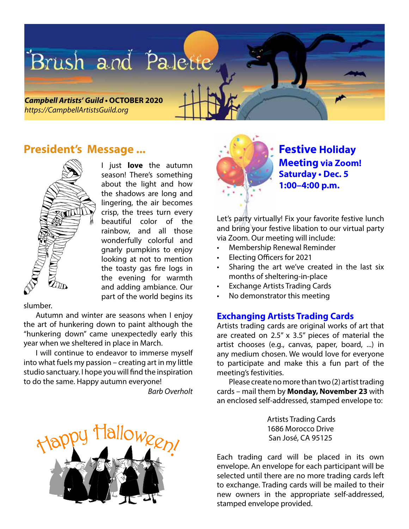# Brush and Palette

**Campbell Artists' Guild • OCTOBER 2020** *https://CampbellArtistsGuild.org*

### **President's Message ...**



I just **love** the autumn season! There's something about the light and how the shadows are long and lingering, the air becomes crisp, the trees turn every beautiful color of the rainbow, and all those wonderfully colorful and gnarly pumpkins to enjoy looking at not to mention the toasty gas fire logs in the evening for warmth and adding ambiance. Our part of the world begins its

slumber.

Autumn and winter are seasons when I enjoy the art of hunkering down to paint although the "hunkering down" came unexpectedly early this year when we sheltered in place in March.

I will continue to endeavor to immerse myself into what fuels my passion – creating art in my little studio sanctuary. I hope you will find the inspiration to do the same. Happy autumn everyone!

 *Barb Overholt*





**Festive Holiday Meeting via Zoom! Saturday • Dec. 5 1:00–4:00 p.m.**

Let's party virtually! Fix your favorite festive lunch and bring your festive libation to our virtual party via Zoom. Our meeting will include:

- Membership Renewal Reminder
- Electing Officers for 2021
- Sharing the art we've created in the last six months of sheltering-in-place
- **Exchange Artists Trading Cards**
- No demonstrator this meeting

#### **Exchanging Artists Trading Cards**

Artists trading cards are original works of art that are created on 2.5" x 3.5" pieces of material the artist chooses (e.g., canvas, paper, board, ...) in any medium chosen. We would love for everyone to participate and make this a fun part of the meeting's festivities.

Please create no more than two (2) artist trading cards – mail them by **Monday, November 23** with an enclosed self-addressed, stamped envelope to:

> Artists Trading Cards 1686 Morocco Drive San José, CA 95125

Each trading card will be placed in its own envelope. An envelope for each participant will be selected until there are no more trading cards left to exchange. Trading cards will be mailed to their new owners in the appropriate self-addressed, stamped envelope provided.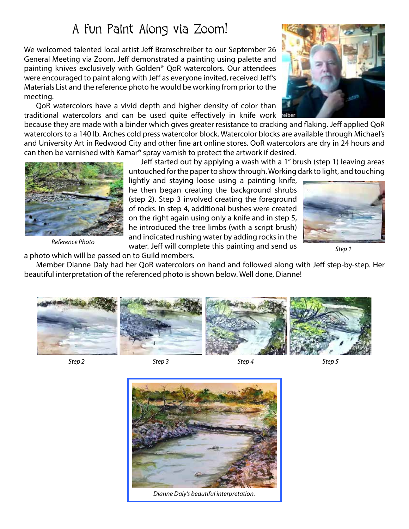# A fun Paint Along via Zoom!

We welcomed talented local artist Jeff Bramschreiber to our September 26 General Meeting via Zoom. Jeff demonstrated a painting using palette and painting knives exclusively with Golden® QoR watercolors. Our attendees were encouraged to paint along with Jeff as everyone invited, received Jeff's Materials List and the reference photo he would be working from prior to the meeting.

QoR watercolors have a vivid depth and higher density of color than traditional watercolors and can be used quite effectively in knife work

because they are made with a binder which gives greater resistance to cracking and flaking. Jeff applied QoR watercolors to a 140 lb. Arches cold press watercolor block. Watercolor blocks are available through Michael's and University Art in Redwood City and other fine art online stores. QoR watercolors are dry in 24 hours and can then be varnished with Kamar® spray varnish to protect the artwork if desired.

> Jeff started out by applying a wash with a 1" brush (step 1) leaving areas untouched for the paper to show through. Working dark to light, and touching

lightly and staying loose using a painting knife, he then began creating the background shrubs (step 2). Step 3 involved creating the foreground of rocks. In step 4, additional bushes were created on the right again using only a knife and in step 5, he introduced the tree limbs (with a script brush) and indicated rushing water by adding rocks in the

water. Jeff will complete this painting and send us

a photo which will be passed on to Guild members.

Member Dianne Daly had her QoR watercolors on hand and followed along with Jeff step-by-step. Her beautiful interpretation of the referenced photo is shown below. Well done, Dianne!



*Step 2 Step 3 Step 4 Step 5*

*Step 1*











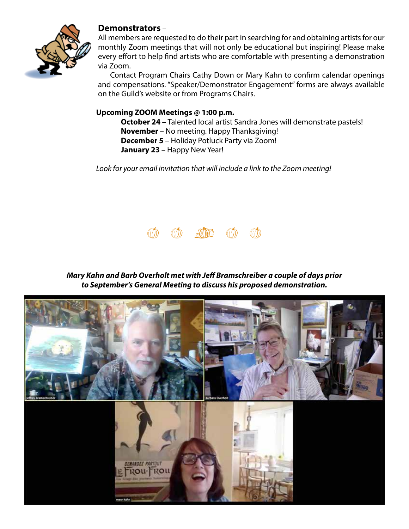

#### **Demonstrators** –

All members are requested to do their part in searching for and obtaining artists for our monthly Zoom meetings that will not only be educational but inspiring! Please make every effort to help find artists who are comfortable with presenting a demonstration via Zoom.

Contact Program Chairs Cathy Down or Mary Kahn to confirm calendar openings and compensations. "Speaker/Demonstrator Engagement" forms are always available on the Guild's website or from Programs Chairs.

#### **Upcoming ZOOM Meetings @ 1:00 p.m.**

**October 24 –** Talented local artist Sandra Jones will demonstrate pastels! **November** – No meeting. Happy Thanksgiving! **December 5** – Holiday Potluck Party via Zoom! **January 23** – Happy New Year!

*Look for your email invitation that will include a link to the Zoom meeting!*



*Mary Kahn and Barb Overholt met with Jeff Bramschreiber a couple of days prior to September's General Meeting to discuss his proposed demonstration.*

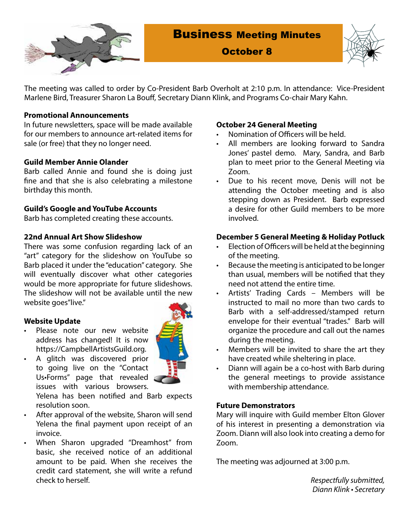

## Business Meeting Minutes



October 8

The meeting was called to order by Co-President Barb Overholt at 2:10 p.m. In attendance: Vice-President Marlene Bird, Treasurer Sharon La Bouff, Secretary Diann Klink, and Programs Co-chair Mary Kahn.

#### **Promotional Announcements**

In future newsletters, space will be made available for our members to announce art-related items for sale (or free) that they no longer need.

#### **Guild Member Annie Olander**

Barb called Annie and found she is doing just fine and that she is also celebrating a milestone birthday this month.

#### **Guild's Google and YouTube Accounts**

Barb has completed creating these accounts.

#### **22nd Annual Art Show Slideshow**

There was some confusion regarding lack of an "art" category for the slideshow on YouTube so Barb placed it under the "education" category. She will eventually discover what other categories would be more appropriate for future slideshows. The slideshow will not be available until the new website goes"live."

#### **Website Update**

- Please note our new website address has changed! It is now https://CampbellArtistsGuild.org.
- 
- A glitch was discovered prior to going live on the "Contact Us•Forms" page that revealed issues with various browsers.

Yelena has been notified and Barb expects resolution soon.

- After approval of the website, Sharon will send Yelena the final payment upon receipt of an invoice.
- When Sharon upgraded "Dreamhost" from basic, she received notice of an additional amount to be paid. When she receives the credit card statement, she will write a refund check to herself.

#### **October 24 General Meeting**

- Nomination of Officers will be held.
- All members are looking forward to Sandra Jones' pastel demo. Mary, Sandra, and Barb plan to meet prior to the General Meeting via Zoom.
- • Due to his recent move, Denis will not be attending the October meeting and is also stepping down as President. Barb expressed a desire for other Guild members to be more involved.

#### **December 5 General Meeting & Holiday Potluck**

- Election of Officers will be held at the beginning of the meeting.
- • Because the meeting is anticipated to be longer than usual, members will be notified that they need not attend the entire time.
- Artists' Trading Cards Members will be instructed to mail no more than two cards to Barb with a self-addressed/stamped return envelope for their eventual "trades." Barb will organize the procedure and call out the names during the meeting.
- Members will be invited to share the art they have created while sheltering in place.
- Diann will again be a co-host with Barb during the general meetings to provide assistance with membership attendance.

#### **Future Demonstrators**

Mary will inquire with Guild member Elton Glover of his interest in presenting a demonstration via Zoom. Diann will also look into creating a demo for Zoom.

The meeting was adjourned at 3:00 p.m.

*Respectfully submitted,* Diann Klink • Secretary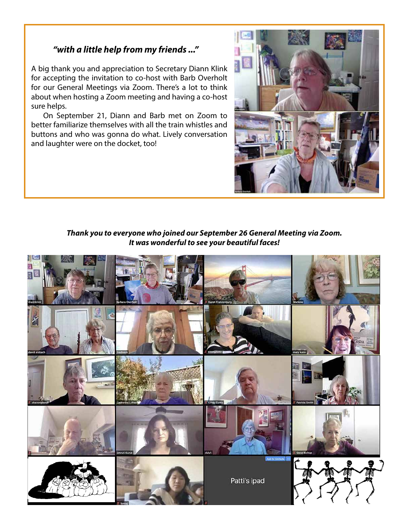#### *"with a little help from my friends ..."*

A big thank you and appreciation to Secretary Diann Klink for accepting the invitation to co-host with Barb Overholt for our General Meetings via Zoom. There's a lot to think about when hosting a Zoom meeting and having a co-host sure helps.

On September 21, Diann and Barb met on Zoom to better familiarize themselves with all the train whistles and buttons and who was gonna do what. Lively conversation and laughter were on the docket, too!



*Thank you to everyone who joined our September 26 General Meeting via Zoom. It was wonderful to see your beautiful faces!*

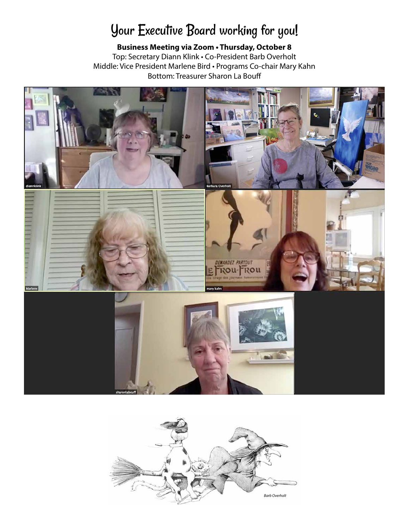# Your Executive Board working for you!

**Business Meeting via Zoom • Thursday, October 8** Top: Secretary Diann Klink • Co-President Barb Overholt Middle: Vice President Marlene Bird • Programs Co-chair Mary Kahn Bottom: Treasurer Sharon La Bouff